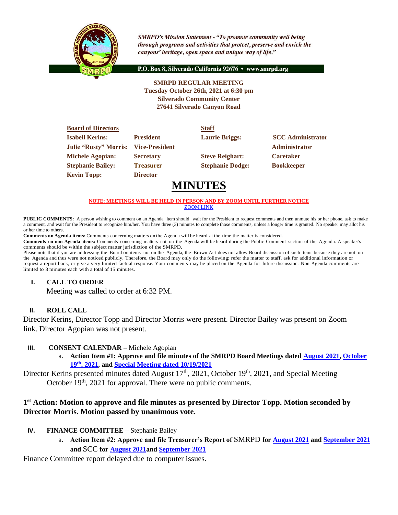

**SMRPD's Mission Statement - "To promote community well being** through programs and activities that protect, preserve and enrich the canyons' heritage, open space and unique way of life."

P.O. Box 8, Silverado California 92676 · www.smrpd.org

**SMRPD REGULAR MEETING Tuesday October 26th, 2021 at 6:30 pm Silverado Community Center 27641 Silverado Canyon Road**

| <b>Board of Directors</b>    |                       | <b>Staff</b>            |                          |
|------------------------------|-----------------------|-------------------------|--------------------------|
| <b>Isabell Kerins:</b>       | <b>President</b>      | <b>Laurie Briggs:</b>   | <b>SCC</b> Administrator |
| <b>Julie "Rusty" Morris:</b> | <b>Vice-President</b> |                         | <b>Administrator</b>     |
| <b>Michele Agopian:</b>      | <b>Secretary</b>      | <b>Steve Reighart:</b>  | <b>Caretaker</b>         |
| <b>Stephanie Bailey:</b>     | <b>Treasurer</b>      | <b>Stephanie Dodge:</b> | <b>Bookkeeper</b>        |
| <b>Kevin Topp:</b>           | <b>Director</b>       |                         |                          |

# **MINUTES**

#### **NOTE: MEETINGS WILL BE HELD IN PERSON AND BY ZOOM UNTIL FURTHER NOTICE** [ZOOM LINK](https://zoom.us/j/99049794367)

**PUBLIC COMMENTS:** A person wishing to comment on an Agenda item should wait for the President to request comments and then unmute his or her phone, ask to make a comment, and wait for the President to recognize him/her. You have three (3) minutes to complete those comments, unless a longer time is granted. No speaker may allot his or her time to others.

**Comments on Agenda items:** Comments concerning matters on the Agenda will be heard at the time the matter is considered.

**Comments on non-Agenda items:** Comments concerning matters not on the Agenda will be heard during the Public Comment section of the Agenda. A speaker's comments should be within the subject matter jurisdiction of the SMRPD.

Please note that if you are addressing the Board on items not on the Agenda, the Brown Act does not allow Board discussion of such items because they are not on the Agenda and thus were not noticed publicly. Therefore, the Board may only do the following: refer the matter to staff, ask for additional information or request a report back, or give a very limited factual response. Your comments may be placed on the Agenda for future discussion. Non-Agenda comments are limited to 3 minutes each with a total of 15 minutes.

### **I. CALL TO ORDER**

Meeting was called to order at 6:32 PM.

### **II. ROLL CALL**

Director Kerins, Director Topp and Director Morris were present. Director Bailey was present on Zoom link. Director Agopian was not present.

### **III. CONSENT CALENDAR** – Michele Agopian

a. **Action Item #1: Approve and file minutes of the SMRPD Board Meetings dated [August 2021,](https://1drv.ms/b/s!An_OKisCbP0FjgbOWxfKv8gMl0ZG?e=xSa0c3) [October](https://1drv.ms/b/s!An_OKisCbP0FjhEwvRhqhgsfu7y0?e=pUbXYg)  19th [, 2021,](https://1drv.ms/b/s!An_OKisCbP0FjhEwvRhqhgsfu7y0?e=pUbXYg) and [Special Meeting dated 10/19/2021](https://1drv.ms/b/s!An_OKisCbP0FjhDbO80xmVazTAaP?e=dGgqnY)**

Director Kerins presented minutes dated August 17<sup>th</sup>, 2021, October 19<sup>th</sup>, 2021, and Special Meeting October 19<sup>th</sup>, 2021 for approval. There were no public comments.

### **1 st Action: Motion to approve and file minutes as presented by Director Topp. Motion seconded by Director Morris. Motion passed by unanimous vote.**

- **IV. FINANCE COMMITTEE** Stephanie Bailey
	- a. **Action Item #2: Approve and file Treasurer's Report of** SMRPD **fo[r August 2021](https://1drv.ms/b/s!An_OKisCbP0FjVg5b8Q9SyTXVRfe?e=5wBMGi) an[d September 2021](https://1drv.ms/b/s!An_OKisCbP0Fjg4kNzJOvgdBKq5I?e=FD7Q8G) and** SCC **for [August 2021a](https://1drv.ms/b/s!An_OKisCbP0FjVnDE-9AMdzwjgv9?e=CAJD0U)nd [September 2021](https://1drv.ms/b/s!An_OKisCbP0Fjg19AkL-YClWPeTq?e=bbRfNq)**

Finance Committee report delayed due to computer issues.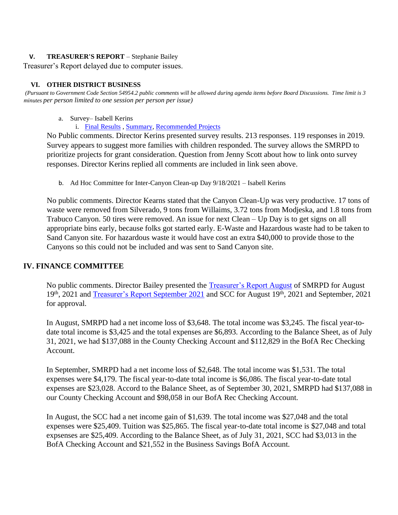### **V. TREASURER'S REPORT** – Stephanie Bailey

Treasurer's Report delayed due to computer issues.

#### **VI. OTHER DISTRICT BUSINESS**

*(Pursuant to Government Code Section 54954.2 public comments will be allowed during agenda items before Board Discussions. Time limit is 3 minutes per person limited to one session per person per issue)*

a. Survey– Isabell Kerins

i. [Final Results](https://reporting.alchemer-ca.com/r/50002519_61305a76319249.72440304) [, Summary,](https://1drv.ms/b/s!An_OKisCbP0FjWdXDtCOMjWxxUgs?e=1Sp6hM) [Recommended Projects](https://1drv.ms/b/s!An_OKisCbP0FjhI643vxpHToFWyT?e=xiuco4)

No Public comments. Director Kerins presented survey results. 213 responses. 119 responses in 2019. Survey appears to suggest more families with children responded. The survey allows the SMRPD to prioritize projects for grant consideration. Question from Jenny Scott about how to link onto survey responses. Director Kerins replied all comments are included in link seen above.

b. Ad Hoc Committee for Inter-Canyon Clean-up Day 9/18/2021 – Isabell Kerins

No public comments. Director Kearns stated that the Canyon Clean-Up was very productive. 17 tons of waste were removed from Silverado, 9 tons from Willaims, 3.72 tons from Modjeska, and 1.8 tons from Trabuco Canyon. 50 tires were removed. An issue for next Clean – Up Day is to get signs on all appropriate bins early, because folks got started early. E-Waste and Hazardous waste had to be taken to Sand Canyon site. For hazardous waste it would have cost an extra \$40,000 to provide those to the Canyons so this could not be included and was sent to Sand Canyon site.

### **IV. FINANCE COMMITTEE**

No public comments. Director Bailey presented the [Treasurer's Report](https://onedrive.live.com/edit.aspx?cid=05fd6c022b2ace7f&page=view&resid=5FD6C022B2ACE7F!1661&parId=5FD6C022B2ACE7F!1583&app=Word) August of SMRPD for August 19<sup>th</sup>, 2021 and [Treasurer's Report September 2021](https://onedrive.live.com/?cid=05FD6C022B2ACE7F&id=5FD6C022B2ACE7F%211844&parId=5FD6C022B2ACE7F%211825&o=OneUp) and SCC for August 19<sup>th</sup>, 2021 and September, 2021 for approval.

In August, SMRPD had a net income loss of \$3,648. The total income was \$3,245. The fiscal year-todate total income is \$3,425 and the total expenses are \$6,893. According to the Balance Sheet, as of July 31, 2021, we had \$137,088 in the County Checking Account and \$112,829 in the BofA Rec Checking Account.

In September, SMRPD had a net income loss of \$2,648. The total income was \$1,531. The total expenses were \$4,179. The fiscal year-to-date total income is \$6,086. The fiscal year-to-date total expenses are \$23,028. Accord to the Balance Sheet, as of September 30, 2021, SMRPD had \$137,088 in our County Checking Account and \$98,058 in our BofA Rec Checking Account.

In August, the SCC had a net income gain of \$1,639. The total income was \$27,048 and the total expenses were \$25,409. Tuition was \$25,865. The fiscal year-to-date total income is \$27,048 and total expsenses are \$25,409. According to the Balance Sheet, as of July 31, 2021, SCC had \$3,013 in the BofA Checking Account and \$21,552 in the Business Savings BofA Account.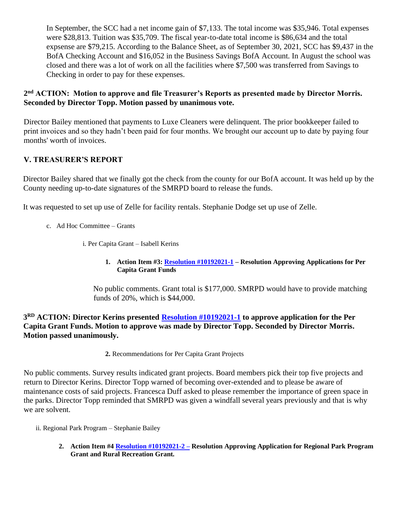In September, the SCC had a net income gain of \$7,133. The total income was \$35,946. Total expenses were \$28,813. Tuition was \$35,709. The fiscal year-to-date total income is \$86,634 and the total expsense are \$79,215. According to the Balance Sheet, as of September 30, 2021, SCC has \$9,437 in the BofA Checking Account and \$16,052 in the Business Savings BofA Account. In August the school was closed and there was a lot of work on all the facilities where \$7,500 was transferred from Savings to Checking in order to pay for these expenses.

### **2 nd ACTION: Motion to approve and file Treasurer's Reports as presented made by Director Morris. Seconded by Director Topp. Motion passed by unanimous vote.**

Director Bailey mentioned that payments to Luxe Cleaners were delinquent. The prior bookkeeper failed to print invoices and so they hadn't been paid for four months. We brought our account up to date by paying four months' worth of invoices.

## **V. TREASURER'S REPORT**

Director Bailey shared that we finally got the check from the county for our BofA account. It was held up by the County needing up-to-date signatures of the SMRPD board to release the funds.

It was requested to set up use of Zelle for facility rentals. Stephanie Dodge set up use of Zelle.

- c. Ad Hoc Committee Grants
	- i. Per Capita Grant Isabell Kerins
		- **1. Action Item #3[: Resolution #10192021-1](https://1drv.ms/b/s!An_OKisCbP0FjWtISfc0-SXZ2jNB?e=f2zot7) – Resolution Approving Applications for Per Capita Grant Funds**

No public comments. Grant total is \$177,000. SMRPD would have to provide matching funds of 20%, which is \$44,000.

**3 RD ACTION: Director Kerins presented [Resolution #10192021-1](https://onedrive.live.com/?cid=05FD6C022B2ACE7F&id=5FD6C022B2ACE7F%211771&parId=5FD6C022B2ACE7F%21275&o=OneUp) to approve application for the Per Capita Grant Funds. Motion to approve was made by Director Topp. Seconded by Director Morris. Motion passed unanimously.**

**2.** Recommendations for Per Capita Grant Projects

No public comments. Survey results indicated grant projects. Board members pick their top five projects and return to Director Kerins. Director Topp warned of becoming over-extended and to please be aware of maintenance costs of said projects. Francesca Duff asked to please remember the importance of green space in the parks. Director Topp reminded that SMRPD was given a windfall several years previously and that is why we are solvent.

ii. Regional Park Program – Stephanie Bailey

**2. Action Item #[4 Resolution #10192021-2 –](https://onedrive.live.com/?cid=05FD6C022B2ACE7F&id=5FD6C022B2ACE7F%211811&parId=5FD6C022B2ACE7F%21275&o=OneUp) Resolution Approving Application for Regional Park Program Grant and Rural Recreation Grant.**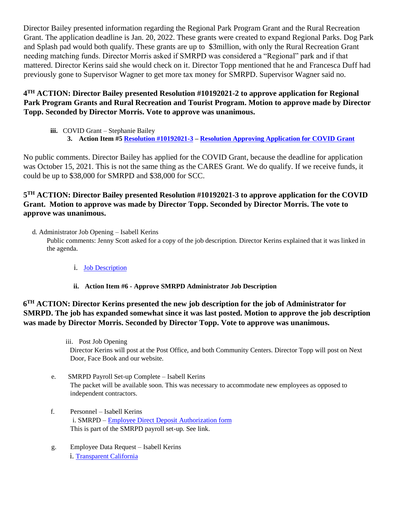Director Bailey presented information regarding the Regional Park Program Grant and the Rural Recreation Grant. The application deadline is Jan. 20, 2022. These grants were created to expand Regional Parks. Dog Park and Splash pad would both qualify. These grants are up to \$3million, with only the Rural Recreation Grant needing matching funds. Director Morris asked if SMRPD was considered a "Regional" park and if that mattered. Director Kerins said she would check on it. Director Topp mentioned that he and Francesca Duff had previously gone to Supervisor Wagner to get more tax money for SMRPD. Supervisor Wagner said no.

### **4 TH ACTION: Director Bailey presented Resolution #10192021-2 to approve application for Regional Park Program Grants and Rural Recreation and Tourist Program. Motion to approve made by Director Topp. Seconded by Director Morris. Vote to approve was unanimous.**

**iii.** COVID Grant – Stephanie Bailey **3. Action Item #[5 Resolution #10192021-3](https://onedrive.live.com/?cid=05FD6C022B2ACE7F&id=5FD6C022B2ACE7F%211804&parId=5FD6C022B2ACE7F%21275&o=OneUp) – [Resolution Approving Application for COVID Grant](/Users/albertmayer/Desktop/SMRPD/WHEREAS)**

No public comments. Director Bailey has applied for the COVID Grant, because the deadline for application was October 15, 2021. This is not the same thing as the CARES Grant. We do qualify. If we receive funds, it could be up to \$38,000 for SMRPD and \$38,000 for SCC.

### **5 TH ACTION: Director Bailey presented Resolution #10192021-3 to approve application for the COVID Grant. Motion to approve was made by Director Topp. Seconded by Director Morris. The vote to approve was unanimous.**

d. Administrator Job Opening – Isabell Kerins

Public comments: Jenny Scott asked for a copy of the job description. Director Kerins explained that it was linked in the agenda.

- i. [Job Description](https://1drv.ms/b/s!An_OKisCbP0FjWxqv3tCqb7PP6JQ?e=fiAg2x)
- **ii. Action Item #6 - Approve SMRPD Administrator Job Description**

### **6 TH ACTION: Director Kerins presented the new job description for the job of Administrator for SMRPD. The job has expanded somewhat since it was last posted. Motion to approve the job description was made by Director Morris. Seconded by Director Topp. Vote to approve was unanimous.**

iii. Post Job Opening Director Kerins will post at the Post Office, and both Community Centers. Director Topp will post on Next Door, Face Book and our website.

- e. SMRPD Payroll Set-up Complete Isabell Kerins The packet will be available soon. This was necessary to accommodate new employees as opposed to independent contractors.
- f. Personnel Isabell Kerins i. SMRPD – [Employee Direct Deposit Authorization form](https://1drv.ms/b/s!An_OKisCbP0FjXQpAoheTkNQdqZ1?e=uw0zTw) This is part of the SMRPD payroll set-up. See link.
- g. Employee Data Request Isabell Kerins i. [Transparent California](https://1drv.ms/x/s!An_OKisCbP0FjXJ1jqROfotfFwPP?e=W3dZnm)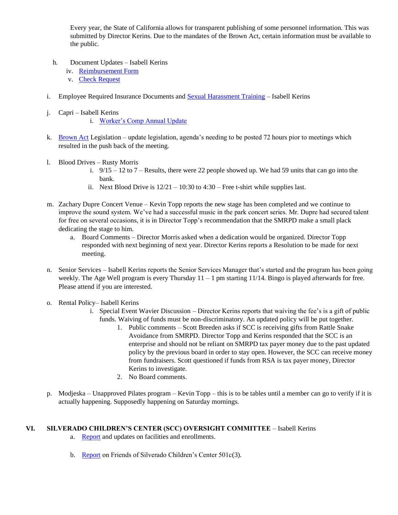Every year, the State of California allows for transparent publishing of some personnel information. This was submitted by Director Kerins. Due to the mandates of the Brown Act, certain information must be available to the public.

- h. Document Updates Isabell Kerins
	- iv. [Reimbursement Form](https://1drv.ms/b/s!An_OKisCbP0FjgsOUHurHFwajFev?e=bIMegr)
	- v. [Check Request](https://1drv.ms/b/s!An_OKisCbP0FjgoFo6EPLtY2gtfe?e=xchekf)
- i. Employee Required Insurance Documents and [Sexual Harassment Training](https://www.calpublicagencylaboremploymentblog.com/employment/sexual-harassment-training-is-your-agency-2021-ready/) Isabell Kerins
- j. Capri Isabell Kerins i. [Worker's Comp Annual Update](https://1drv.ms/b/s!An_OKisCbP0FjXOYffnZSNdlH3pZ?e=AhB2f2)
- k. [Brown Act](https://1drv.ms/b/s!An_OKisCbP0FgxRy04_5-HqHlIF3?e=waqcZp) Legislation update legislation, agenda's needing to be posted 72 hours pior to meetings which resulted in the push back of the meeting.
- l. Blood Drives Rusty Morris
	- i.  $9/15 12$  to  $7$  Results, there were 22 people showed up. We had 59 units that can go into the bank.
	- ii. Next Blood Drive is  $12/21 10:30$  to  $4:30$  Free t-shirt while supplies last.
- m. Zachary Dupre Concert Venue Kevin Topp reports the new stage has been completed and we continue to improve the sound system. We've had a successful music in the park concert series. Mr. Dupre had secured talent for free on several occasions, it is in Director Topp's recommendation that the SMRPD make a small plack dedicating the stage to him.
	- a. Board Comments Director Morris asked when a dedication would be organized. Director Topp responded with next beginning of next year. Director Kerins reports a Resolution to be made for next meeting.
- n. Senior Services Isabell Kerins reports the Senior Services Manager that's started and the program has been going weekly. The Age Well program is every Thursday  $11 - 1$  pm starting  $11/14$ . Bingo is played afterwards for free. Please attend if you are interested.
- o. Rental Policy– Isabell Kerins
	- i. Special Event Wavier Discussion Director Kerins reports that waiving the fee's is a gift of public funds. Waiving of funds must be non-discriminatory. An updated policy will be put together.
		- 1. Public comments Scott Breeden asks if SCC is receiving gifts from Rattle Snake Avoidance from SMRPD. Director Topp and Kerins responded that the SCC is an enterprise and should not be reliant on SMRPD tax payer money due to the past updated policy by the previous board in order to stay open. However, the SCC can receive money from fundraisers. Scott questioned if funds from RSA is tax payer money, Director Kerins to investigate.
		- 2. No Board comments.
- p. Modjeska Unapproved Pilates program Kevin Topp this is to be tables until a member can go to verify if it is actually happening. Supposedly happening on Saturday mornings.

### **VI. SILVERADO CHILDREN'S CENTER (SCC) OVERSIGHT COMMITTEE** – Isabell Kerins

- a. [Report](https://1drv.ms/b/s!An_OKisCbP0FjWgke7AL9LmXKDXc?e=N3Ni2e) and updates on facilities and enrollments.
- b. [Report](https://1drv.ms/b/s!An_OKisCbP0FjWgke7AL9LmXKDXc?e=N3Ni2e) on Friends of Silverado Children's Center 501c(3).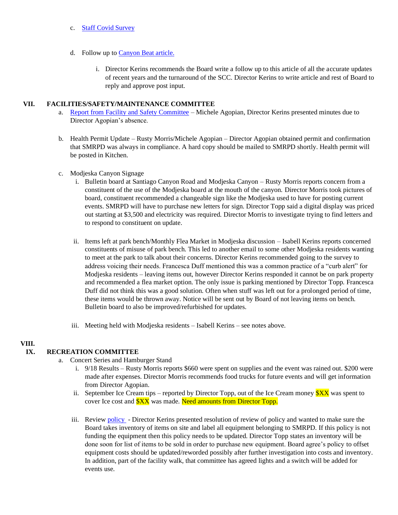- c. [Staff Covid Survey](https://survey.alchemer-ca.com/s3/50129277/Employee-COVID-Survey-102021)
- d. Follow up t[o Canyon Beat article.](https://foothillssentry.com/canyon-beat/f/canyon-beat-it-takes-a-village-plus-other-people’s-money?blogcategory=Canyon+Beat%2FCanyons)
	- i. Director Kerins recommends the Board write a follow up to this article of all the accurate updates of recent years and the turnaround of the SCC. Director Kerins to write article and rest of Board to reply and approve post input.

### **VII. FACILITIES/SAFETY/MAINTENANCE COMMITTEE**

- a. [Report from Facility and Safety Committee](https://onedrive.live.com/edit.aspx?cid=05fd6c022b2ace7f&page=view&resid=5FD6C022B2ACE7F!1824&parId=5FD6C022B2ACE7F!1795&app=Word) Michele Agopian, Director Kerins presented minutes due to Director Agopian's absence.
- b. Health Permit Update Rusty Morris/Michele Agopian Director Agopian obtained permit and confirmation that SMRPD was always in compliance. A hard copy should be mailed to SMRPD shortly. Health permit will be posted in Kitchen.
- c. Modjeska Canyon Signage
	- i. Bulletin board at Santiago Canyon Road and Modjeska Canyon Rusty Morris reports concern from a constituent of the use of the Modjeska board at the mouth of the canyon. Director Morris took pictures of board, constituent recommended a changeable sign like the Modjeska used to have for posting current events. SMRPD will have to purchase new letters for sign. Director Topp said a digital display was priced out starting at \$3,500 and electricity was required. Director Morris to investigate trying to find letters and to respond to constituent on update.
	- ii. Items left at park bench/Monthly Flea Market in Modjeska discussion Isabell Kerins reports concerned constituents of misuse of park bench. This led to another email to some other Modjeska residents wanting to meet at the park to talk about their concerns. Director Kerins recommended going to the survey to address voicing their needs. Francesca Duff mentioned this was a common practice of a "curb alert" for Modjeska residents – leaving items out, however Director Kerins responded it cannot be on park property and recommended a flea market option. The only issue is parking mentioned by Director Topp. Francesca Duff did not think this was a good solution. Often when stuff was left out for a prolonged period of time, these items would be thrown away. Notice will be sent out by Board of not leaving items on bench. Bulletin board to also be improved/refurbished for updates.
	- iii. Meeting held with Modjeska residents Isabell Kerins see notes above.

## **VIII.**

### **IX. RECREATION COMMITTEE**

- a. Concert Series and Hamburger Stand
	- i. 9/18 Results Rusty Morris reports \$660 were spent on supplies and the event was rained out. \$200 were made after expenses. Director Morris recommends food trucks for future events and will get information from Director Agopian.
	- ii. September Ice Cream tips reported by Director Topp, out of the Ice Cream money  $XX$  was spent to cover Ice cost and **\$XX** was made. Need amounts from Director Topp.
	- iii. Review [policy](https://survey.alchemer-ca.com/s3/50129277/Employee-COVID-Survey-102021) Director Kerins presented resolution of review of policy and wanted to make sure the Board takes inventory of items on site and label all equipment belonging to SMRPD. If this policy is not funding the equipment then this policy needs to be updated. Director Topp states an inventory will be done soon for list of items to be sold in order to purchase new equipment. Board agree's policy to offset equipment costs should be updated/reworded possibly after further investigation into costs and inventory. In addition, part of the facility walk, that committee has agreed lights and a switch will be added for events use.